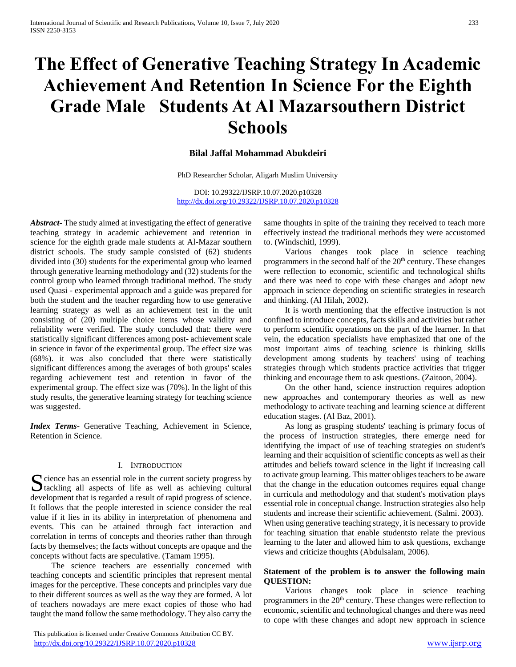# **The Effect of Generative Teaching Strategy In Academic Achievement And Retention In Science For the Eighth Grade Male Students At Al Mazarsouthern District Schools**

# **Bilal Jaffal Mohammad Abukdeiri**

PhD Researcher Scholar, Aligarh Muslim University

DOI: 10.29322/IJSRP.10.07.2020.p10328 <http://dx.doi.org/10.29322/IJSRP.10.07.2020.p10328>

*Abstract***-** The study aimed at investigating the effect of generative teaching strategy in academic achievement and retention in science for the eighth grade male students at Al-Mazar southern district schools. The study sample consisted of (62) students divided into (30) students for the experimental group who learned through generative learning methodology and (32) students for the control group who learned through traditional method. The study used Quasi - experimental approach and a guide was prepared for both the student and the teacher regarding how to use generative learning strategy as well as an achievement test in the unit consisting of (20) multiple choice items whose validity and reliability were verified. The study concluded that: there were statistically significant differences among post- achievement scale in science in favor of the experimental group. The effect size was (68%). it was also concluded that there were statistically significant differences among the averages of both groups' scales regarding achievement test and retention in favor of the experimental group. The effect size was (70%). In the light of this study results, the generative learning strategy for teaching science was suggested.

*Index Terms*- Generative Teaching, Achievement in Science, Retention in Science.

#### I. INTRODUCTION

cience has an essential role in the current society progress by Socience has an essential role in the current society progress by tackling all aspects of life as well as achieving cultural development that is regarded a result of rapid progress of science. It follows that the people interested in science consider the real value if it lies in its ability in interpretation of phenomena and events. This can be attained through fact interaction and correlation in terms of concepts and theories rather than through facts by themselves; the facts without concepts are opaque and the concepts without facts are speculative. (Tamam 1995).

 The science teachers are essentially concerned with teaching concepts and scientific principles that represent mental images for the perceptive. These concepts and principles vary due to their different sources as well as the way they are formed. A lot of teachers nowadays are mere exact copies of those who had taught the mand follow the same methodology. They also carry the

 This publication is licensed under Creative Commons Attribution CC BY. <http://dx.doi.org/10.29322/IJSRP.10.07.2020.p10328> [www.ijsrp.org](http://ijsrp.org/)

same thoughts in spite of the training they received to teach more effectively instead the traditional methods they were accustomed to. (Windschitl, 1999).

 Various changes took place in science teaching programmers in the second half of the  $20<sup>th</sup>$  century. These changes were reflection to economic, scientific and technological shifts and there was need to cope with these changes and adopt new approach in science depending on scientific strategies in research and thinking. (Al Hilah, 2002).

 It is worth mentioning that the effective instruction is not confined to introduce concepts, facts skills and activities but rather to perform scientific operations on the part of the learner. In that vein, the education specialists have emphasized that one of the most important aims of teaching science is thinking skills development among students by teachers' using of teaching strategies through which students practice activities that trigger thinking and encourage them to ask questions. (Zaitoon, 2004).

 On the other hand, science instruction requires adoption new approaches and contemporary theories as well as new methodology to activate teaching and learning science at different education stages. (Al Baz, 2001).

 As long as grasping students' teaching is primary focus of the process of instruction strategies, there emerge need for identifying the impact of use of teaching strategies on student's learning and their acquisition of scientific concepts as well as their attitudes and beliefs toward science in the light if increasing call to activate group learning. This matter obliges teachers to be aware that the change in the education outcomes requires equal change in curricula and methodology and that student's motivation plays essential role in conceptual change. Instruction strategies also help students and increase their scientific achievement. (Salmi. 2003). When using generative teaching strategy, it is necessary to provide for teaching situation that enable studentsto relate the previous learning to the later and allowed him to ask questions, exchange views and criticize thoughts (Abdulsalam, 2006).

## **Statement of the problem is to answer the following main QUESTION:**

 Various changes took place in science teaching programmers in the  $20<sup>th</sup>$  century. These changes were reflection to economic, scientific and technological changes and there was need to cope with these changes and adopt new approach in science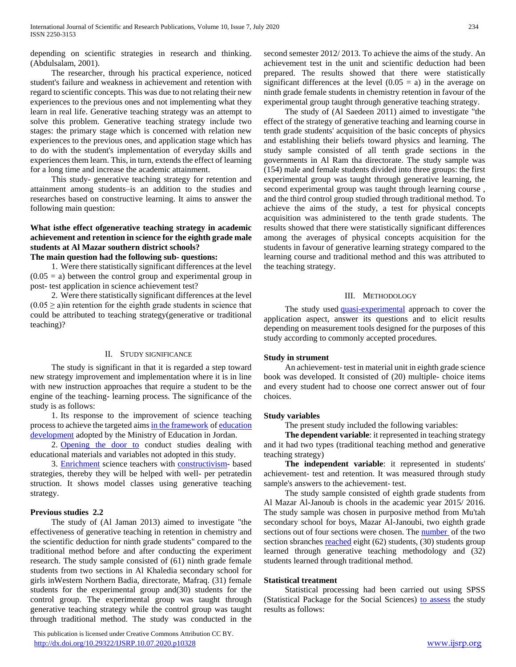depending on scientific strategies in research and thinking. (Abdulsalam, 2001).

 The researcher, through his practical experience, noticed student's failure and weakness in achievement and retention with regard to scientific concepts. This was due to not relating their new experiences to the previous ones and not implementing what they learn in real life. Generative teaching strategy was an attempt to solve this problem. Generative teaching strategy include two stages: the primary stage which is concerned with relation new experiences to the previous ones, and application stage which has to do with the student's implementation of everyday skills and experiences them learn. This, in turn, extends the effect of learning for a long time and increase the academic attainment.

 This study- generative teaching strategy for retention and attainment among students–is an addition to the studies and researches based on constructive learning. It aims to answer the following main question:

# **What isthe effect ofgenerative teaching strategy in academic achievement and retention in science for the eighth grade male students at Al Mazar southern district schools?**

# **The main question had the following sub- questions:**

 1. Were there statistically significant differences at the level  $(0.05 = a)$  between the control group and experimental group in post- test application in science achievement test?

 2. Were there statistically significant differences at the level  $(0.05 \ge a)$  in retention for the eighth grade students in science that could be attributed to teaching strategy(generative or traditional teaching)?

#### II. STUDY SIGNIFICANCE

 The study is significant in that it is regarded a step toward new strategy improvement and implementation where it is in line with new instruction approaches that require a student to be the engine of the teaching- learning process. The significance of the study is as follows:

 1. Its response to the improvement of science teaching process to achieve the targeted aim[s in the framework](https://context.reverso.net/%D8%A7%D9%84%D8%AA%D8%B1%D8%AC%D9%85%D8%A9/%D8%A7%D9%84%D8%A5%D9%86%D8%AC%D9%84%D9%8A%D8%B2%D9%8A%D8%A9-%D8%A7%D9%84%D8%B9%D8%B1%D8%A8%D9%8A%D8%A9/in+the+framework) o[f education](https://context.reverso.net/%D8%A7%D9%84%D8%AA%D8%B1%D8%AC%D9%85%D8%A9/%D8%A7%D9%84%D8%A5%D9%86%D8%AC%D9%84%D9%8A%D8%B2%D9%8A%D8%A9-%D8%A7%D9%84%D8%B9%D8%B1%D8%A8%D9%8A%D8%A9/education+development)  [development](https://context.reverso.net/%D8%A7%D9%84%D8%AA%D8%B1%D8%AC%D9%85%D8%A9/%D8%A7%D9%84%D8%A5%D9%86%D8%AC%D9%84%D9%8A%D8%B2%D9%8A%D8%A9-%D8%A7%D9%84%D8%B9%D8%B1%D8%A8%D9%8A%D8%A9/education+development) adopted by the Ministry of Education in Jordan.

2. [Opening the door to](https://context.reverso.net/%D8%A7%D9%84%D8%AA%D8%B1%D8%AC%D9%85%D8%A9/%D8%A7%D9%84%D8%A5%D9%86%D8%AC%D9%84%D9%8A%D8%B2%D9%8A%D8%A9-%D8%A7%D9%84%D8%B9%D8%B1%D8%A8%D9%8A%D8%A9/open+the+door+to) conduct studies dealing with educational materials and variables not adopted in this study.

 3. [Enrichment](https://context.reverso.net/%D8%A7%D9%84%D8%AA%D8%B1%D8%AC%D9%85%D8%A9/%D8%A7%D9%84%D8%A5%D9%86%D8%AC%D9%84%D9%8A%D8%B2%D9%8A%D8%A9-%D8%A7%D9%84%D8%B9%D8%B1%D8%A8%D9%8A%D8%A9/enrichment) science teachers with [constructivism-](https://context.reverso.net/%D8%A7%D9%84%D8%AA%D8%B1%D8%AC%D9%85%D8%A9/%D8%A7%D9%84%D8%A5%D9%86%D8%AC%D9%84%D9%8A%D8%B2%D9%8A%D8%A9-%D8%A7%D9%84%D8%B9%D8%B1%D8%A8%D9%8A%D8%A9/constructivism) based strategies, thereby they will be helped with well- per petratedin struction. It shows model classes using generative teaching strategy.

#### **Previous studies 2.2**

 The study of (Al Jaman 2013) aimed to investigate "the effectiveness of generative teaching in retention in chemistry and the scientific deduction for ninth grade students" compared to the traditional method before and after conducting the experiment research. The study sample consisted of (61) ninth grade female students from two sections in Al Khaledia secondary school for girls inWestern Northern Badia, directorate, Mafraq. (31) female students for the experimental group and(30) students for the control group. The experimental group was taught through generative teaching strategy while the control group was taught through traditional method. The study was conducted in the

 This publication is licensed under Creative Commons Attribution CC BY. <http://dx.doi.org/10.29322/IJSRP.10.07.2020.p10328> [www.ijsrp.org](http://ijsrp.org/)

second semester 2012/ 2013. To achieve the aims of the study. An achievement test in the unit and scientific deduction had been prepared. The results showed that there were statistically significant differences at the level  $(0.05 = a)$  in the average on ninth grade female students in chemistry retention in favour of the experimental group taught through generative teaching strategy.

 The study of (Al Saedeen 2011) aimed to investigate "the effect of the strategy of generative teaching and learning course in tenth grade students' acquisition of the basic concepts of physics and establishing their beliefs toward physics and learning. The study sample consisted of all tenth grade sections in the governments in Al Ram tha directorate. The study sample was (154) male and female students divided into three groups: the first experimental group was taught through generative learning, the second experimental group was taught through learning course , and the third control group studied through traditional method. To achieve the aims of the study, a test for physical concepts acquisition was administered to the tenth grade students. The results showed that there were statistically significant differences among the averages of physical concepts acquisition for the students in favour of generative learning strategy compared to the learning course and traditional method and this was attributed to the teaching strategy.

#### III. METHODOLOGY

The study used [quasi-experimental](https://context.reverso.net/%D8%A7%D9%84%D8%AA%D8%B1%D8%AC%D9%85%D8%A9/%D8%A7%D9%84%D8%A5%D9%86%D8%AC%D9%84%D9%8A%D8%B2%D9%8A%D8%A9-%D8%A7%D9%84%D8%B9%D8%B1%D8%A8%D9%8A%D8%A9/quasi-experimental) approach to cover the application aspect, answer its questions and to elicit results depending on measurement tools designed for the purposes of this study according to commonly accepted procedures.

#### **Study in strument**

 An achievement- test in material unit in eighth grade science book was developed. It consisted of (20) multiple- choice items and every student had to choose one correct answer out of four choices.

### **Study variables**

The present study included the following variables:

 **The dependent variable**: it represented in teaching strategy and it had two types (traditional teaching method and generative teaching strategy)

 **The independent variable**: it represented in students' achievement- test and retention. It was measured through study sample's answers to the achievement- test.

 The study sample consisted of eighth grade students from Al Mazar Al-Janoub is chools in the academic year 2015/ 2016. The study sample was chosen in purposive method from Mu'tah secondary school for boys, Mazar Al-Janoubi, two eighth grade sections out of four sections were chosen. The **number** of the two section sbranches [reached](https://context.reverso.net/translation/english-arabic/has+reached) eight (62) students, (30) students group learned through generative teaching methodology and (32) students learned through traditional method.

#### **Statistical treatment**

 Statistical processing had been carried out using SPSS (Statistical Package for the Social Sciences) [to assess](https://context.reverso.net/%D8%A7%D9%84%D8%AA%D8%B1%D8%AC%D9%85%D8%A9/%D8%A7%D9%84%D8%A5%D9%86%D8%AC%D9%84%D9%8A%D8%B2%D9%8A%D8%A9-%D8%A7%D9%84%D8%B9%D8%B1%D8%A8%D9%8A%D8%A9/to+assess) the study results as follows: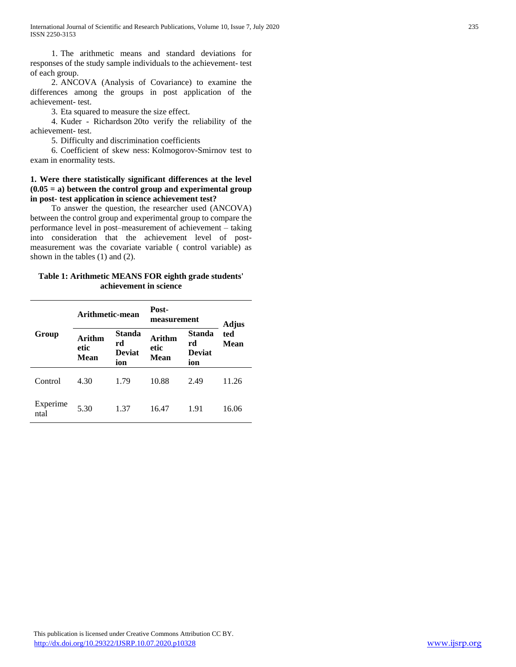1. The arithmetic means and standard deviations for responses of the study sample individuals to the achievement- test of each group.

 2. ANCOVA (Analysis of Covariance) to examine the differences among the groups in post application of the achievement- test.

3. Eta squared to measure the size effect.

 4. Kuder - Richardson 20to verify the reliability of the achievement- test.

5. Difficulty and discrimination coefficients

 6. Coefficient of skew ness: Kolmogorov-Smirnov test to exam in enormality tests.

# **1. Were there statistically significant differences at the level (0.05 = a) between the control group and experimental group in post- test application in science achievement test?**

 To answer the question, the researcher used (ANCOVA) between the control group and experimental group to compare the performance level in post–measurement of achievement – taking into consideration that the achievement level of postmeasurement was the covariate variable ( control variable) as shown in the tables (1) and (2).

# **Table 1: Arithmetic MEANS FOR eighth grade students' achievement in science**

|                  | Arithmetic-mean               |                                             | Post-<br>measurement          | Adjus                                       |             |  |
|------------------|-------------------------------|---------------------------------------------|-------------------------------|---------------------------------------------|-------------|--|
| Group            | <b>Arithm</b><br>etic<br>Mean | <b>Standa</b><br>rd<br><b>Deviat</b><br>ion | Arithm<br>etic<br><b>Mean</b> | <b>Standa</b><br>rd<br><b>Deviat</b><br>ion | ted<br>Mean |  |
| Control          | 4.30                          | 1.79                                        | 10.88                         | 2.49                                        | 11.26       |  |
| Experime<br>ntal | 5.30                          | 1.37                                        | 16.47                         | 1.91                                        | 16.06       |  |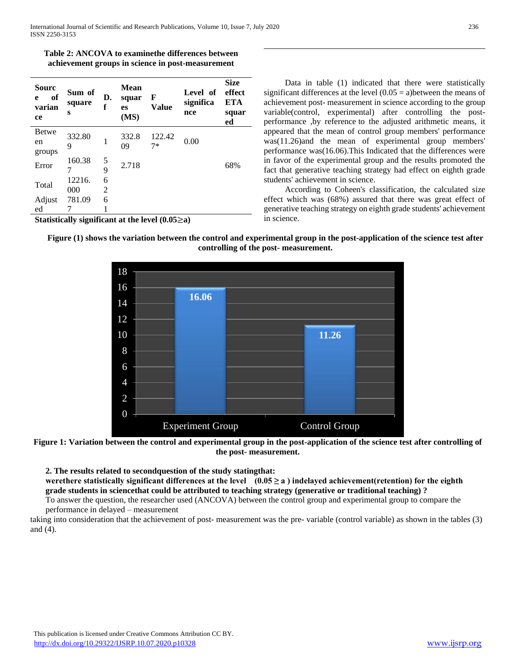| Table 2: ANCOVA to examine the differences between |
|----------------------------------------------------|
| achievement groups in science in post-measurement  |

| Sourc<br>of<br>e<br>varian<br>ce                      | Sum of<br>square<br>S | D.<br>f | <b>Mean</b><br>squar<br>es<br>(MS) | F<br><b>Value</b> | Level of<br>significa<br>nce | <b>Size</b><br>effect<br><b>ETA</b><br>squar<br>ed |  |  |
|-------------------------------------------------------|-----------------------|---------|------------------------------------|-------------------|------------------------------|----------------------------------------------------|--|--|
| <b>Betwe</b><br>en<br>groups                          | 332.80<br>9           | 1       | 332.8<br>09                        | 122.42<br>$7*$    | 0.00                         |                                                    |  |  |
| Error                                                 | 160.38<br>7           | 5<br>9  | 2.718                              |                   |                              | 68%                                                |  |  |
| Total                                                 | 12216.<br>000         | 6<br>2  |                                    |                   |                              |                                                    |  |  |
| Adjust<br>ed                                          | 781.09                | 6       |                                    |                   |                              |                                                    |  |  |
| Statistically significant at the level $(0.05\geq a)$ |                       |         |                                    |                   |                              |                                                    |  |  |

 Data in table (1) indicated that there were statistically significant differences at the level  $(0.05 = a)$  between the means of achievement post- measurement in science according to the group variable(control, experimental) after controlling the postperformance ,by reference to the adjusted arithmetic means, it appeared that the mean of control group members' performance was(11.26)and the mean of experimental group members' performance was(16.06).This Indicated that the differences were in favor of the experimental group and the results promoted the fact that generative teaching strategy had effect on eighth grade students' achievement in science.

 According to Coheen's classification, the calculated size effect which was (68%) assured that there was great effect of generative teaching strategy on eighth grade students' achievement in science.

**11.26**

**Figure (1) shows the variation between the control and experimental group in the post-application of the science test after controlling of the post- measurement.**



**16.06**

**2. The results related to secondquestion of the study statingthat:**

werethere statistically significant differences at the level  $(0.05 \ge a)$  indelayed achievement(retention) for the eighth **grade students in sciencethat could be attributed to teaching strategy (generative or traditional teaching) ?**

To answer the question, the researcher used (ANCOVA) between the control group and experimental group to compare the performance in delayed – measurement

taking into consideration that the achievement of post- measurement was the pre- variable (control variable) as shown in the tables (3) and (4).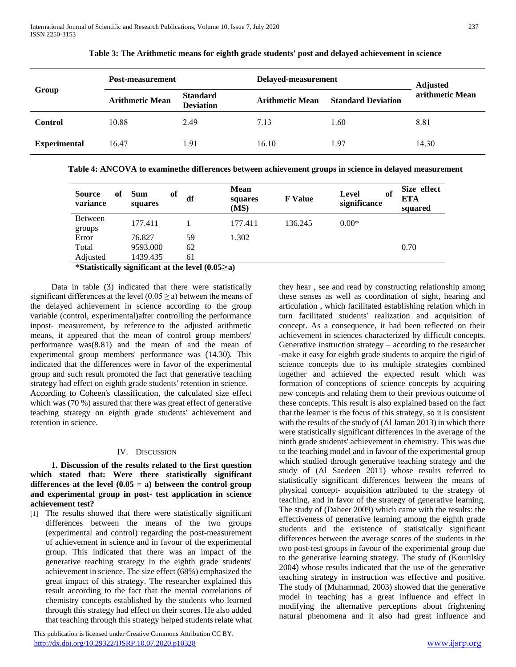| Group               | Post-measurement       |                                     | Delayed-measurement    | <b>Adjusted</b>           |                 |
|---------------------|------------------------|-------------------------------------|------------------------|---------------------------|-----------------|
|                     | <b>Arithmetic Mean</b> | <b>Standard</b><br><b>Deviation</b> | <b>Arithmetic Mean</b> | <b>Standard Deviation</b> | arithmetic Mean |
| <b>Control</b>      | 10.88                  | 2.49                                | 7.13                   | 1.60                      | 8.81            |
| <b>Experimental</b> | 16.47                  | 1.91                                | 16.10                  | l.97                      | 14.30           |

**Table 3: The Arithmetic means for eighth grade students' post and delayed achievement in science**

**Table 4: ANCOVA to examinethe differences between achievement groups in science in delayed measurement**

| <b>Source</b><br>variance | of | <b>Sum</b><br>squares | of | df | <b>Mean</b><br>squares<br>(MS) | <b>F</b> Value | Level<br>significance | of | Size effect<br><b>ETA</b><br>squared |
|---------------------------|----|-----------------------|----|----|--------------------------------|----------------|-----------------------|----|--------------------------------------|
| <b>Between</b><br>groups  |    | 177.411               |    |    | 177.411                        | 136.245        | $0.00*$               |    |                                      |
| Error                     |    | 76.827                |    | 59 | 1.302                          |                |                       |    |                                      |
| Total                     |    | 9593.000              |    | 62 |                                |                |                       |    | 0.70                                 |
| Adjusted                  |    | 1439.435              |    | 61 |                                |                |                       |    |                                      |

# **\*Statistically significant at the level (0.05**≥**a)**

 Data in table (3) indicated that there were statistically significant differences at the level  $(0.05 \ge a)$  between the means of the delayed achievement in science according to the group variable (control, experimental)after controlling the performance inpost- measurement, by reference to the adjusted arithmetic means, it appeared that the mean of control group members' performance was(8.81) and the mean of and the mean of experimental group members' performance was (14.30). This indicated that the differences were in favor of the experimental group and such result promoted the fact that generative teaching strategy had effect on eighth grade students' retention in science. According to Coheen's classification, the calculated size effect which was (70 %) assured that there was great effect of generative teaching strategy on eighth grade students' achievement and retention in science.

## IV. DISCUSSION

 **1. Discussion of the results related to the first question which stated that: Were there statistically significant**  differences at the level  $(0.05 = a)$  between the control group **and experimental group in post- test application in science achievement test?**

[1] The results showed that there were statistically significant differences between the means of the two groups (experimental and control) regarding the post-measurement of achievement in science and in favour of the experimental group. This indicated that there was an impact of the generative teaching strategy in the eighth grade students' achievement in science. The size effect (68%) emphasized the great impact of this strategy. The researcher explained this result according to the fact that the mental correlations of chemistry concepts established by the students who learned through this strategy had effect on their scores. He also added that teaching through this strategy helped students relate what

 This publication is licensed under Creative Commons Attribution CC BY. <http://dx.doi.org/10.29322/IJSRP.10.07.2020.p10328> [www.ijsrp.org](http://ijsrp.org/)

they hear , see and read by constructing relationship among these senses as well as coordination of sight, hearing and articulation , which facilitated establishing relation which in turn facilitated students' realization and acquisition of concept. As a consequence, it had been reflected on their achievement in sciences characterized by difficult concepts. Generative instruction strategy – according to the researcher -make it easy for eighth grade students to acquire the rigid of science concepts due to its multiple strategies combined together and achieved the expected result which was formation of conceptions of science concepts by acquiring new concepts and relating them to their previous outcome of these concepts. This result is also explained based on the fact that the learner is the focus of this strategy, so it is consistent with the results of the study of (Al Jaman 2013) in which there were statistically significant differences in the average of the ninth grade students' achievement in chemistry. This was due to the teaching model and in favour of the experimental group which studied through generative teaching strategy and the study of (Al Saedeen 2011) whose results referred to statistically significant differences between the means of physical concept- acquisition attributed to the strategy of teaching, and in favor of the strategy of generative learning. The study of (Daheer 2009) which came with the results: the effectiveness of generative learning among the eighth grade students and the existence of statistically significant differences between the average scores of the students in the two post-test groups in favour of the experimental group due to the generative learning strategy. The study of (Kourilsky 2004) whose results indicated that the use of the generative teaching strategy in instruction was effective and positive. The study of (Muhammad, 2003) showed that the generative model in teaching has a great influence and effect in modifying the alternative perceptions about frightening natural phenomena and it also had great influence and